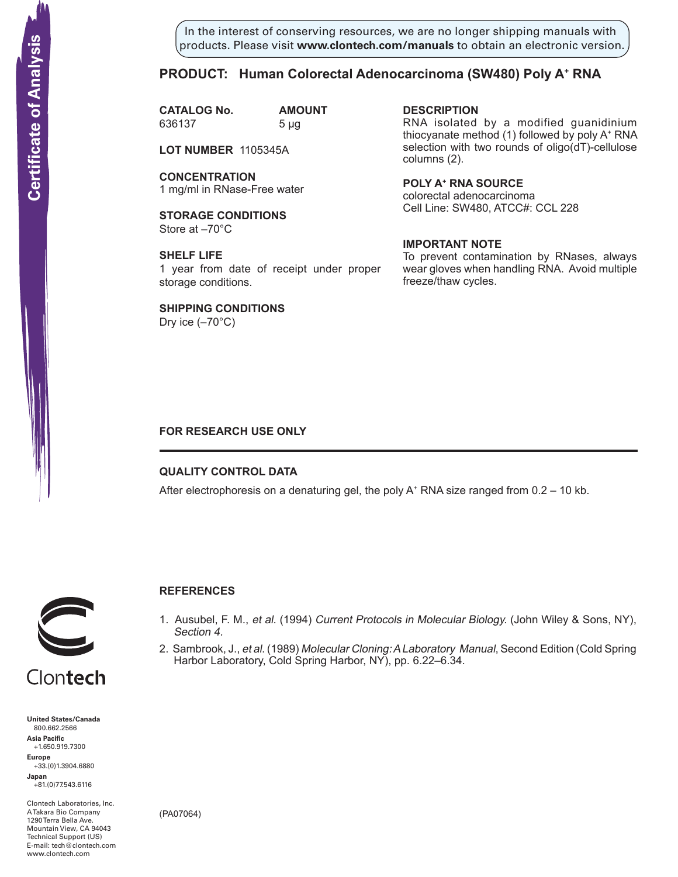In the interest of conserving resources, we are no longer shipping manuals with products. Please visit **www.clontech.com/manuals** to obtain an electronic version.

## **PRODUCT: Human Colorectal Adenocarcinoma (SW480) Poly A+ RNA**

**CATALOG No. AMOUNT** 636137 5 µg

**LOT NUMBER** 1105345A

**CONCENTRATION** 1 mg/ml in RNase-Free water

**STORAGE CONDITIONS** Store at –70°C

**SHELF LIFE** 1 year from date of receipt under proper storage conditions.

**SHIPPING CONDITIONS**

Dry ice  $(-70^{\circ}C)$ 

**description**

RNA isolated by a modified guanidinium thiocyanate method (1) followed by poly A+ RNA selection with two rounds of oligo(dT)-cellulose columns (2).

**Poly a+ RNA source** colorectal adenocarcinoma Cell Line: SW480, ATCC#: CCL 228

## **IMPORTANT NOTE**

To prevent contamination by RNases, always wear gloves when handling RNA. Avoid multiple freeze/thaw cycles.

## **FOR RESEARCH USE ONLY**

### **QUALITY CONTROL DATA**

After electrophoresis on a denaturing gel, the poly  $A^+$  RNA size ranged from 0.2 – 10 kb.



## **References**

- 1. Ausubel, F. M., et al. (1994) Current Protocols in Molecular Biology. (John Wiley & Sons, NY), Section 4.
- 2. Sambrook, J., et al. (1989) Molecular Cloning: A Laboratory Manual, Second Edition (Cold Spring Harbor Laboratory, Cold Spring Harbor, NY), pp. 6.22–6.34.

**United States/Canada** 800.662.2566 **Asia Pacific** +1.650.919.7300 **Europe** +33.(0)1.3904.6880 **Japan** +81.(0)77.543.6116 **Solution Control Control Control Control Control Control Control Control Control Control Control Control Control Control Control Control Control Control Control Control Control Control Control Control Control Control Cont** 

Clontech Laboratories, Inc. A Takara Bio Company 1290 Terra Bella Ave. Mountain View, CA 94043 Technical Support (US) E-mail: tech@clontech.com

(PA07064)